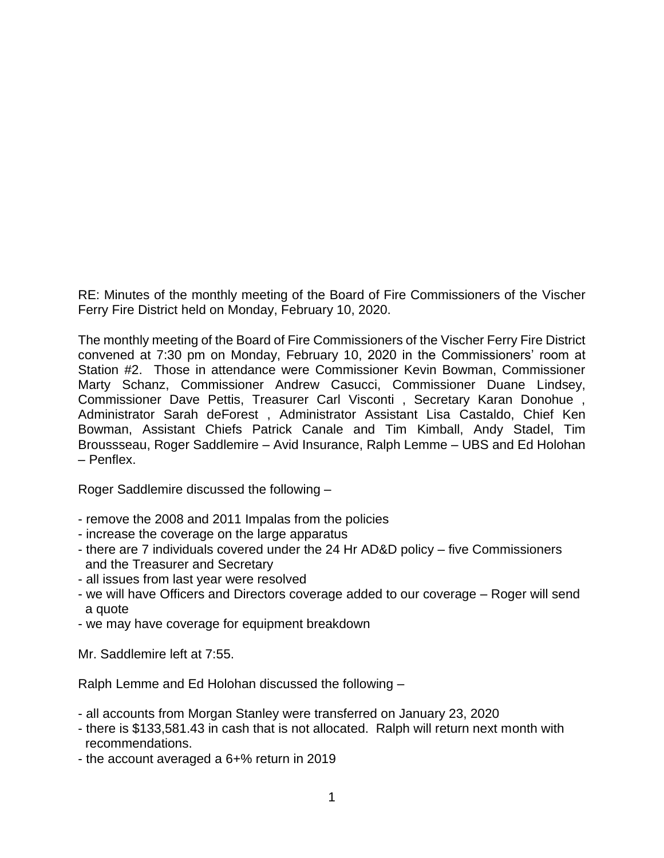RE: Minutes of the monthly meeting of the Board of Fire Commissioners of the Vischer Ferry Fire District held on Monday, February 10, 2020.

The monthly meeting of the Board of Fire Commissioners of the Vischer Ferry Fire District convened at 7:30 pm on Monday, February 10, 2020 in the Commissioners' room at Station #2. Those in attendance were Commissioner Kevin Bowman, Commissioner Marty Schanz, Commissioner Andrew Casucci, Commissioner Duane Lindsey, Commissioner Dave Pettis, Treasurer Carl Visconti , Secretary Karan Donohue , Administrator Sarah deForest , Administrator Assistant Lisa Castaldo, Chief Ken Bowman, Assistant Chiefs Patrick Canale and Tim Kimball, Andy Stadel, Tim Broussseau, Roger Saddlemire – Avid Insurance, Ralph Lemme – UBS and Ed Holohan – Penflex.

Roger Saddlemire discussed the following –

- remove the 2008 and 2011 Impalas from the policies
- increase the coverage on the large apparatus
- there are 7 individuals covered under the 24 Hr AD&D policy five Commissioners and the Treasurer and Secretary
- all issues from last year were resolved
- we will have Officers and Directors coverage added to our coverage Roger will send a quote
- we may have coverage for equipment breakdown

Mr. Saddlemire left at 7:55.

Ralph Lemme and Ed Holohan discussed the following –

- all accounts from Morgan Stanley were transferred on January 23, 2020
- there is \$133,581.43 in cash that is not allocated. Ralph will return next month with recommendations.
- the account averaged a 6+% return in 2019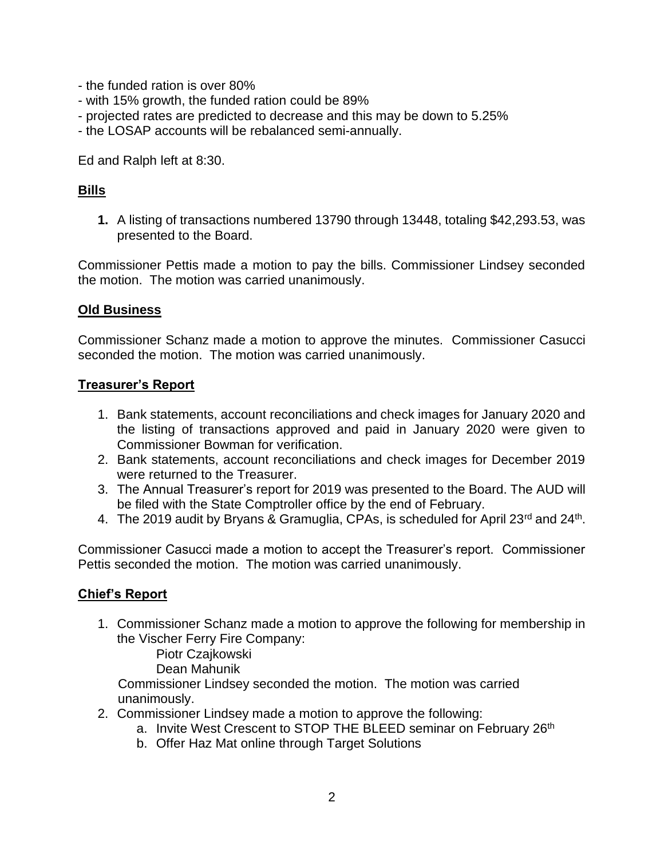- the funded ration is over 80%
- with 15% growth, the funded ration could be 89%
- projected rates are predicted to decrease and this may be down to 5.25%
- the LOSAP accounts will be rebalanced semi-annually.

Ed and Ralph left at 8:30.

# **Bills**

**1.** A listing of transactions numbered 13790 through 13448, totaling \$42,293.53, was presented to the Board.

Commissioner Pettis made a motion to pay the bills. Commissioner Lindsey seconded the motion. The motion was carried unanimously.

### **Old Business**

Commissioner Schanz made a motion to approve the minutes. Commissioner Casucci seconded the motion. The motion was carried unanimously.

### **Treasurer's Report**

- 1. Bank statements, account reconciliations and check images for January 2020 and the listing of transactions approved and paid in January 2020 were given to Commissioner Bowman for verification.
- 2. Bank statements, account reconciliations and check images for December 2019 were returned to the Treasurer.
- 3. The Annual Treasurer's report for 2019 was presented to the Board. The AUD will be filed with the State Comptroller office by the end of February.
- 4. The 2019 audit by Bryans & Gramuglia, CPAs, is scheduled for April 23<sup>rd</sup> and 24<sup>th</sup>.

Commissioner Casucci made a motion to accept the Treasurer's report. Commissioner Pettis seconded the motion. The motion was carried unanimously.

## **Chief's Report**

1. Commissioner Schanz made a motion to approve the following for membership in the Vischer Ferry Fire Company:

Piotr Czajkowski

Dean Mahunik

 Commissioner Lindsey seconded the motion. The motion was carried unanimously.

- 2. Commissioner Lindsey made a motion to approve the following:
	- a. Invite West Crescent to STOP THE BLEED seminar on February 26<sup>th</sup>
	- b. Offer Haz Mat online through Target Solutions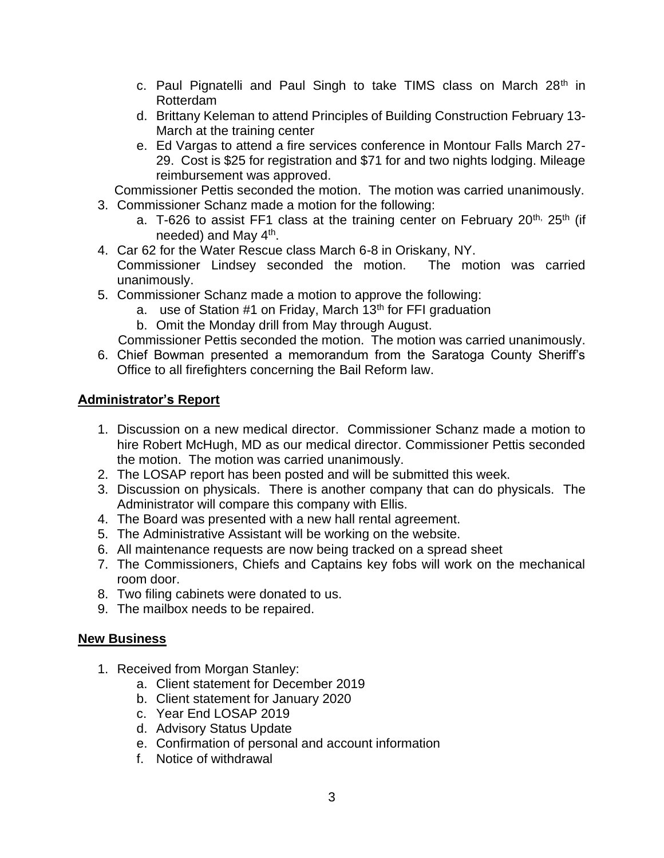- c. Paul Pignatelli and Paul Singh to take TIMS class on March  $28<sup>th</sup>$  in Rotterdam
- d. Brittany Keleman to attend Principles of Building Construction February 13- March at the training center
- e. Ed Vargas to attend a fire services conference in Montour Falls March 27- 29. Cost is \$25 for registration and \$71 for and two nights lodging. Mileage reimbursement was approved.

Commissioner Pettis seconded the motion. The motion was carried unanimously.

- 3. Commissioner Schanz made a motion for the following:
	- a. T-626 to assist FF1 class at the training center on February 20<sup>th, 25th</sup> (if needed) and May 4<sup>th</sup>.
- 4. Car 62 for the Water Rescue class March 6-8 in Oriskany, NY. Commissioner Lindsey seconded the motion. The motion was carried unanimously.
- 5. Commissioner Schanz made a motion to approve the following:
	- a. use of Station #1 on Friday, March 13<sup>th</sup> for FFI graduation
	- b. Omit the Monday drill from May through August.
	- Commissioner Pettis seconded the motion. The motion was carried unanimously.
- 6. Chief Bowman presented a memorandum from the Saratoga County Sheriff's Office to all firefighters concerning the Bail Reform law.

## **Administrator's Report**

- 1. Discussion on a new medical director. Commissioner Schanz made a motion to hire Robert McHugh, MD as our medical director. Commissioner Pettis seconded the motion. The motion was carried unanimously.
- 2. The LOSAP report has been posted and will be submitted this week.
- 3. Discussion on physicals. There is another company that can do physicals. The Administrator will compare this company with Ellis.
- 4. The Board was presented with a new hall rental agreement.
- 5. The Administrative Assistant will be working on the website.
- 6. All maintenance requests are now being tracked on a spread sheet
- 7. The Commissioners, Chiefs and Captains key fobs will work on the mechanical room door.
- 8. Two filing cabinets were donated to us.
- 9. The mailbox needs to be repaired.

## **New Business**

- 1. Received from Morgan Stanley:
	- a. Client statement for December 2019
	- b. Client statement for January 2020
	- c. Year End LOSAP 2019
	- d. Advisory Status Update
	- e. Confirmation of personal and account information
	- f. Notice of withdrawal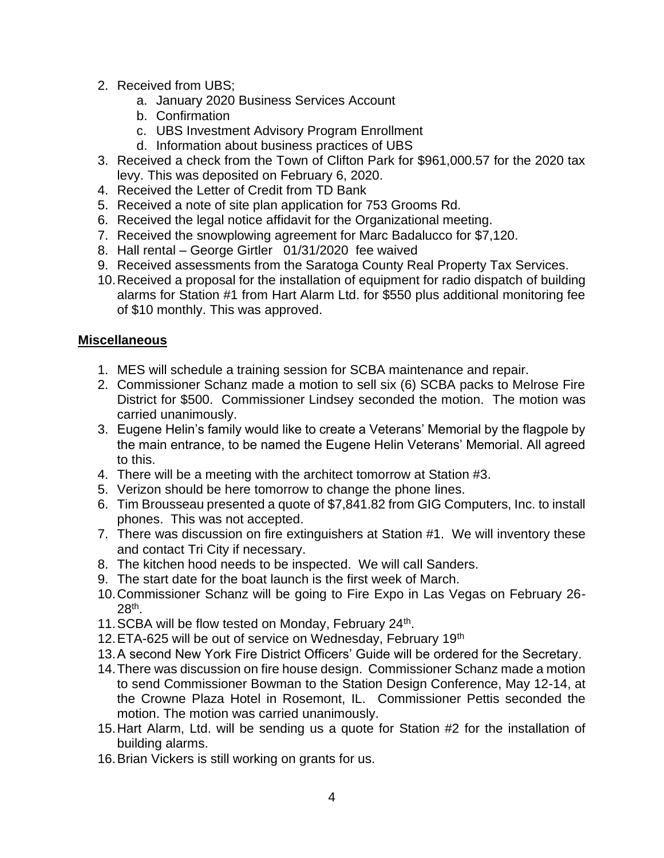- 2. Received from UBS;
	- a. January 2020 Business Services Account
	- b. Confirmation
	- c. UBS Investment Advisory Program Enrollment
	- d. Information about business practices of UBS
- 3. Received a check from the Town of Clifton Park for \$961,000.57 for the 2020 tax levy. This was deposited on February 6, 2020.
- 4. Received the Letter of Credit from TD Bank
- 5. Received a note of site plan application for 753 Grooms Rd.
- 6. Received the legal notice affidavit for the Organizational meeting.
- 7. Received the snowplowing agreement for Marc Badalucco for \$7,120.
- 8. Hall rental George Girtler 01/31/2020 fee waived
- 9. Received assessments from the Saratoga County Real Property Tax Services.
- 10.Received a proposal for the installation of equipment for radio dispatch of building alarms for Station #1 from Hart Alarm Ltd. for \$550 plus additional monitoring fee of \$10 monthly. This was approved.

### **Miscellaneous**

- 1. MES will schedule a training session for SCBA maintenance and repair.
- 2. Commissioner Schanz made a motion to sell six (6) SCBA packs to Melrose Fire District for \$500. Commissioner Lindsey seconded the motion. The motion was carried unanimously.
- 3. Eugene Helin's family would like to create a Veterans' Memorial by the flagpole by the main entrance, to be named the Eugene Helin Veterans' Memorial. All agreed to this.
- 4. There will be a meeting with the architect tomorrow at Station #3.
- 5. Verizon should be here tomorrow to change the phone lines.
- 6. Tim Brousseau presented a quote of \$7,841.82 from GIG Computers, Inc. to install phones. This was not accepted.
- 7. There was discussion on fire extinguishers at Station #1. We will inventory these and contact Tri City if necessary.
- 8. The kitchen hood needs to be inspected. We will call Sanders.
- 9. The start date for the boat launch is the first week of March.
- 10.Commissioner Schanz will be going to Fire Expo in Las Vegas on February 26- 28th .
- 11. SCBA will be flow tested on Monday, February 24<sup>th</sup>.
- 12. ETA-625 will be out of service on Wednesday, February 19th
- 13.A second New York Fire District Officers' Guide will be ordered for the Secretary.
- 14.There was discussion on fire house design. Commissioner Schanz made a motion to send Commissioner Bowman to the Station Design Conference, May 12-14, at the Crowne Plaza Hotel in Rosemont, IL. Commissioner Pettis seconded the motion. The motion was carried unanimously.
- 15.Hart Alarm, Ltd. will be sending us a quote for Station #2 for the installation of building alarms.
- 16.Brian Vickers is still working on grants for us.